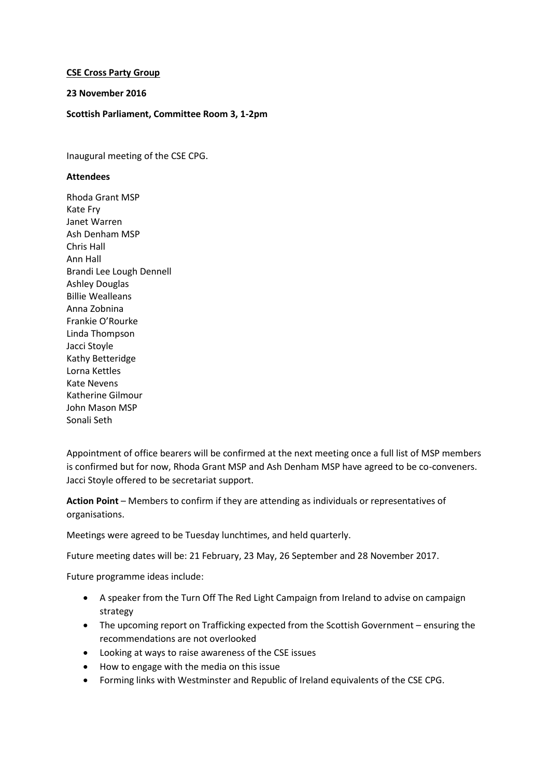## **CSE Cross Party Group**

## **23 November 2016**

## **Scottish Parliament, Committee Room 3, 1-2pm**

Inaugural meeting of the CSE CPG.

## **Attendees**

Rhoda Grant MSP Kate Fry Janet Warren Ash Denham MSP Chris Hall Ann Hall Brandi Lee Lough Dennell Ashley Douglas Billie Wealleans Anna Zobnina Frankie O'Rourke Linda Thompson Jacci Stoyle Kathy Betteridge Lorna Kettles Kate Nevens Katherine Gilmour John Mason MSP Sonali Seth

Appointment of office bearers will be confirmed at the next meeting once a full list of MSP members is confirmed but for now, Rhoda Grant MSP and Ash Denham MSP have agreed to be co-conveners. Jacci Stoyle offered to be secretariat support.

**Action Point** – Members to confirm if they are attending as individuals or representatives of organisations.

Meetings were agreed to be Tuesday lunchtimes, and held quarterly.

Future meeting dates will be: 21 February, 23 May, 26 September and 28 November 2017.

Future programme ideas include:

- A speaker from the Turn Off The Red Light Campaign from Ireland to advise on campaign strategy
- The upcoming report on Trafficking expected from the Scottish Government ensuring the recommendations are not overlooked
- Looking at ways to raise awareness of the CSE issues
- How to engage with the media on this issue
- Forming links with Westminster and Republic of Ireland equivalents of the CSE CPG.